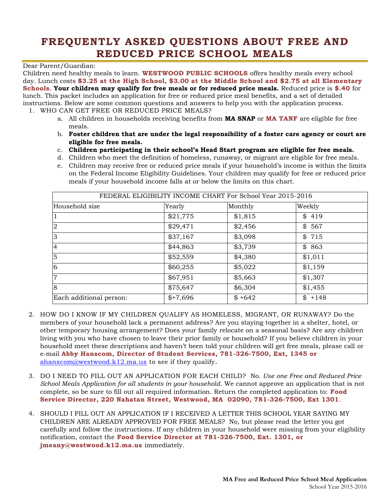# **FREQUENTLY ASKED QUESTIONS ABOUT FREE AND REDUCED PRICE SCHOOL MEALS**

#### Dear Parent/Guardian:

Children need healthy meals to learn. **WESTWOOD PUBLIC SCHOOLS** offers healthy meals every school day. Lunch costs **\$3.25 at the High School, \$3.00 at the Middle School and \$2.75 at all Elementary Schools**. **Your children may qualify for free meals or for reduced price meals.** Reduced price is **\$.40** for lunch. This packet includes an application for free or reduced price meal benefits, and a set of detailed instructions. Below are some common questions and answers to help you with the application process.

- 1. WHO CAN GET FREE OR REDUCED PRICE MEALS?
	- a. All children in households receiving benefits from **MA SNAP** or **MA TANF** are eligible for free meals.
	- b. **Foster children that are under the legal responsibility of a foster care agency or court are eligible for free meals.**
	- c. **Children participating in their school's Head Start program are eligible for free meals.**
	- d. Children who meet the definition of homeless, runaway, or migrant are eligible for free meals.
	- e. Children may receive free or reduced price meals if your household's income is within the limits on the Federal Income Eligibility Guidelines. Your children may qualify for free or reduced price meals if your household income falls at or below the limits on this chart.

| FEDERAL ELIGIBILITY INCOME CHART For School Year 2015-2016 |           |         |         |  |  |  |  |  |
|------------------------------------------------------------|-----------|---------|---------|--|--|--|--|--|
| Household size                                             | Yearly    | Monthly | Weekly  |  |  |  |  |  |
|                                                            | \$21,775  | \$1,815 | \$419   |  |  |  |  |  |
| $\overline{2}$                                             | \$29,471  | \$2,456 | \$567   |  |  |  |  |  |
| 3                                                          | \$37,167  | \$3,098 | \$715   |  |  |  |  |  |
| $\overline{4}$                                             | \$44,863  | \$3,739 | \$863   |  |  |  |  |  |
| 5                                                          | \$52,559  | \$4,380 | \$1,011 |  |  |  |  |  |
| 6                                                          | \$60,255  | \$5,022 | \$1,159 |  |  |  |  |  |
| 17                                                         | \$67,951  | \$5,663 | \$1,307 |  |  |  |  |  |
| 8                                                          | \$75,647  | \$6,304 | \$1,455 |  |  |  |  |  |
| Each additional person:                                    | $$+7,696$ | $$+642$ | $$+148$ |  |  |  |  |  |

- 2. HOW DO I KNOW IF MY CHILDREN QUALIFY AS HOMELESS, MIGRANT, OR RUNAWAY? Do the members of your household lack a permanent address? Are you staying together in a shelter, hotel, or other temporary housing arrangement? Does your family relocate on a seasonal basis? Are any children living with you who have chosen to leave their prior family or household? If you believe children in your household meet these descriptions and haven't been told your children will get free meals, please call or e-mail **Abby Hanscom, Director of Student Services, 781-326-7500, Ext, 1345 or**  [ahanscom@westwood.k12.ma.us](mailto:ahanscom@westwood.k12.ma.us) to see if they qualify**.**
- 3. DO I NEED TO FILL OUT AN APPLICATION FOR EACH CHILD? No. *Use one Free and Reduced Price School Meals Application for all students in your household.* We cannot approve an application that is not complete, so be sure to fill out all required information. Return the completed application to: **Food Service Director, 220 Nahatan Street, Westwood, MA 02090, 781-326-7500, Ext 1301**.
- 4. SHOULD I FILL OUT AN APPLICATION IF I RECEIVED A LETTER THIS SCHOOL YEAR SAYING MY CHILDREN ARE ALREADY APPROVED FOR FREE MEALS? No, but please read the letter you got carefully and follow the instructions. If any children in your household were missing from your eligibility notification, contact the **Food Service Director at 781-326-7500, Ext. 1301, or jmeany@westwood.k12.ma.us** immediately.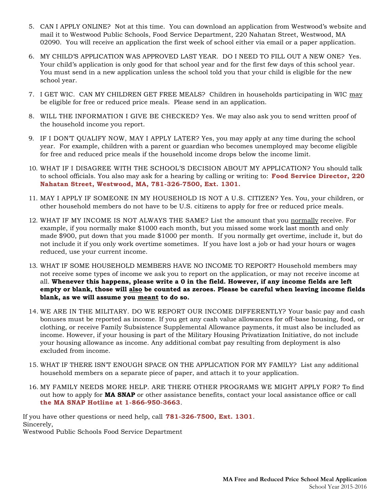- 5. CAN I APPLY ONLINE? Not at this time. You can download an application from Westwood's website and mail it to Westwood Public Schools, Food Service Department, 220 Nahatan Street, Westwood, MA 02090. You will receive an application the first week of school either via email or a paper application.
- 6. MY CHILD'S APPLICATION WAS APPROVED LAST YEAR. DO I NEED TO FILL OUT A NEW ONE? Yes. Your child's application is only good for that school year and for the first few days of this school year. You must send in a new application unless the school told you that your child is eligible for the new school year.
- 7. I GET WIC. CAN MY CHILDREN GET FREE MEALS? Children in households participating in WIC may be eligible for free or reduced price meals. Please send in an application.
- 8. WILL THE INFORMATION I GIVE BE CHECKED? Yes. We may also ask you to send written proof of the household income you report.
- 9. IF I DON'T QUALIFY NOW, MAY I APPLY LATER? Yes, you may apply at any time during the school year. For example, children with a parent or guardian who becomes unemployed may become eligible for free and reduced price meals if the household income drops below the income limit.
- 10. WHAT IF I DISAGREE WITH THE SCHOOL'S DECISION ABOUT MY APPLICATION? You should talk to school officials. You also may ask for a hearing by calling or writing to: **Food Service Director, 220 Nahatan Street, Westwood, MA, 781-326-7500, Ext. 1301.**
- 11. MAY I APPLY IF SOMEONE IN MY HOUSEHOLD IS NOT A U.S. CITIZEN? Yes. You, your children, or other household members do not have to be U.S. citizens to apply for free or reduced price meals.
- 12. WHAT IF MY INCOME IS NOT ALWAYS THE SAME? List the amount that you normally receive. For example, if you normally make \$1000 each month, but you missed some work last month and only made \$900, put down that you made \$1000 per month. If you normally get overtime, include it, but do not include it if you only work overtime sometimes. If you have lost a job or had your hours or wages reduced, use your current income.
- 13. WHAT IF SOME HOUSEHOLD MEMBERS HAVE NO INCOME TO REPORT? Household members may not receive some types of income we ask you to report on the application, or may not receive income at all. **Whenever this happens, please write a 0 in the field. However, if any income fields are left empty or blank, those will also be counted as zeroes. Please be careful when leaving income fields blank, as we will assume you meant to do so.**
- 14. WE ARE IN THE MILITARY. DO WE REPORT OUR INCOME DIFFERENTLY? Your basic pay and cash bonuses must be reported as income. If you get any cash value allowances for off-base housing, food, or clothing, or receive Family Subsistence Supplemental Allowance payments, it must also be included as income. However, if your housing is part of the Military Housing Privatization Initiative, do not include your housing allowance as income. Any additional combat pay resulting from deployment is also excluded from income.
- 15. WHAT IF THERE ISN'T ENOUGH SPACE ON THE APPLICATION FOR MY FAMILY? List any additional household members on a separate piece of paper, and attach it to your application.
- 16. MY FAMILY NEEDS MORE HELP. ARE THERE OTHER PROGRAMS WE MIGHT APPLY FOR? To find out how to apply for **MA SNAP** or other assistance benefits, contact your local assistance office or call **the MA SNAP Hotline at 1-866-950-3663**.

If you have other questions or need help, call **781-326-7500, Ext. 1301***.* Sincerely, Westwood Public Schools Food Service Department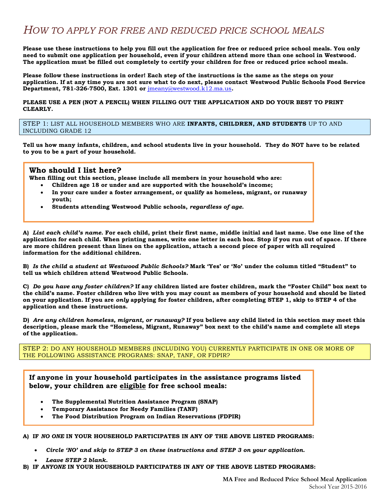# *HOW TO APPLY FOR FREE AND REDUCED PRICE SCHOOL MEALS*

**Please use these instructions to help you fill out the application for free or reduced price school meals. You only need to submit one application per household, even if your children attend more than one school in Westwood. The application must be filled out completely to certify your children for free or reduced price school meals.**

**Please follow these instructions in order! Each step of the instructions is the same as the steps on your application. If at any time you are not sure what to do next, please contact Westwood Public Schools Food Service Department, 781-326-7500, Ext. 1301 or** [jmeany@westwood.k12.ma.us](mailto:jmeany@westwood.k12.ma.us)**.**

**PLEASE USE A PEN (NOT A PENCIL) WHEN FILLING OUT THE APPLICATION AND DO YOUR BEST TO PRINT CLEARLY.**

STEP 1: LIST ALL HOUSEHOLD MEMBERS WHO ARE **INFANTS, CHILDREN, AND STUDENTS** UP TO AND INCLUDING GRADE 12

**Tell us how many infants, children, and school students live in your household. They do NOT have to be related to you to be a part of your household.**

#### **Who should I list here?**

**When filling out this section, please include all members in your household who are:** 

- **Children age 18 or under and are supported with the household's income;**
- **In your care under a foster arrangement, or qualify as homeless, migrant, or runaway youth;**
- **Students attending Westwood Public schools,** *regardless of age.*

**A)** *List each child's name.* **For each child, print their first name, middle initial and last name. Use one line of the application for each child. When printing names, write one letter in each box. Stop if you run out of space. If there are more children present than lines on the application, attach a second piece of paper with all required information for the additional children.**

**B)** *Is the child a student at Westwood Public Schools?* **Mark 'Yes' or 'No' under the column titled "Student" to tell us which children attend Westwood Public Schools.**

**C)** *Do you have any foster children?* **If any children listed are foster children, mark the "Foster Child" box next to the child's name. Foster children who live with you may count as members of your household and should be listed on your application. If you are** *only* **applying for foster children, after completing STEP 1, skip to STEP 4 of the application and these instructions.**

**D)** *Are any children homeless, migrant, or runaway?* **If you believe any child listed in this section may meet this description, please mark the "Homeless, Migrant, Runaway" box next to the child's name and complete all steps of the application.**

STEP 2: DO ANY HOUSEHOLD MEMBERS (INCLUDING YOU) CURRENTLY PARTICIPATE IN ONE OR MORE OF THE FOLLOWING ASSISTANCE PROGRAMS: SNAP, TANF, OR FDPIR?

**If anyone in your household participates in the assistance programs listed below, your children are eligible for free school meals:**

- **The Supplemental Nutrition Assistance Program (SNAP)**
- **Temporary Assistance for Needy Families (TANF)**
- **The Food Distribution Program on Indian Reservations (FDPIR)**

**A) IF** *NO ONE* **IN YOUR HOUSEHOLD PARTICIPATES IN ANY OF THE ABOVE LISTED PROGRAMS:**

- *Circle 'NO' and skip to STEP 3 on these instructions and STEP 3 on your application.*
- *Leave STEP 2 blank.*

**B) IF** *ANYONE* **IN YOUR HOUSEHOLD PARTICIPATES IN ANY OF THE ABOVE LISTED PROGRAMS:**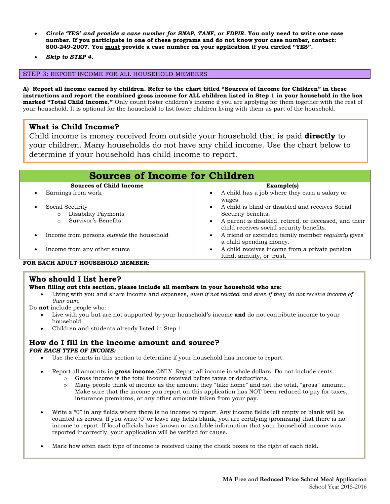- *Circle 'YES' and provide a case number for SNAP, TANF, or FDPIR.* **You only need to write one case number. If you participate in one of these programs and do not know your case number, contact: 800-249-2007. You must provide a case number on your application if you circled "YES".**
- *Skip to STEP 4.*

#### STEP 3: REPORT INCOME FOR ALL HOUSEHOLD MEMBERS

**A) Report all income earned by children. Refer to the chart titled "Sources of Income for Children" in these instructions and report the combined gross income for ALL children listed in Step 1 in your household in the box marked "Total Child Income."** Only count foster children's income if you are applying for them together with the rest of your household. It is optional for the household to list foster children living with them as part of the household.

### **What is Child Income?**

Child income is money received from outside your household that is paid **directly** to your children. Many households do not have any child income. Use the chart below to determine if your household has child income to report.

| <b>Sources of Income for Children</b>                                                  |                                                                                                                                                                             |  |  |  |  |  |  |
|----------------------------------------------------------------------------------------|-----------------------------------------------------------------------------------------------------------------------------------------------------------------------------|--|--|--|--|--|--|
| <b>Sources of Child Income</b>                                                         | Example(s)                                                                                                                                                                  |  |  |  |  |  |  |
| Earnings from work<br>$\bullet$                                                        | A child has a job where they earn a salary or<br>wages.                                                                                                                     |  |  |  |  |  |  |
| Social Security<br>$\bullet$<br>Disability Payments<br>Survivor's Benefits<br>$\Omega$ | A child is blind or disabled and receives Social<br>Security benefits.<br>A parent is disabled, retired, or deceased, and their<br>child receives social security benefits. |  |  |  |  |  |  |
| Income from persons <i>outside</i> the household<br>$\bullet$                          | A friend or extended family member <i>regularly</i> gives<br>a child spending money.                                                                                        |  |  |  |  |  |  |
| Income from any other source                                                           | A child receives income from a private pension<br>fund, annuity, or trust.                                                                                                  |  |  |  |  |  |  |

#### **FOR EACH ADULT HOUSEHOLD MEMBER:**

### **Who should I list here?**

**When filling out this section, please include all members in your household who are:** 

 Living with you and share income and expenses, *even if not related and even if they do not receive income of their own.*

Do **not** include people who:

- Live with you but are not supported by your household's income **and** do not contribute income to your household.
- Children and students already listed in Step 1

#### **How do I fill in the income amount and source?**  *FOR EACH TYPE OF INCOME:*

- Use the charts in this section to determine if your household has income to report.
- Report all amounts in **gross income** ONLY. Report all income in whole dollars. Do not include cents.
	- o Gross income is the total income received before taxes or deductions.
	- o Many people think of income as the amount they "take home" and not the total, "gross" amount. Make sure that the income you report on this application has NOT been reduced to pay for taxes, insurance premiums, or any other amounts taken from your pay.
- Write a "0" in any fields where there is no income to report. Any income fields left empty or blank will be counted as zeroes. If you write '0' or leave any fields blank, you are certifying (promising) that there is no income to report. If local officials have known or available information that your household income was reported incorrectly, your application will be verified for cause.
- Mark how often each type of income is received using the check boxes to the right of each field.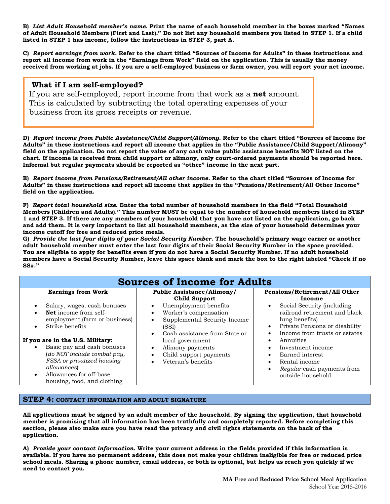**B)** *List Adult Household member's name.* **Print the name of each household member in the boxes marked "Names of Adult Household Members (First and Last)." Do not list any household members you listed in STEP 1. If a child listed in STEP 1 has income, follow the instructions in STEP 3, part A.**

**C)** *Report earnings from work.* **Refer to the chart titled "Sources of Income for Adults" in these instructions and report all income from work in the "Earnings from Work" field on the application. This is usually the money received from working at jobs. If you are a self-employed business or farm owner, you will report your net income.**

#### **What if I am self-employed?**

If you are self-employed, report income from that work as a **net** amount. This is calculated by subtracting the total operating expenses of your business from its gross receipts or revenue.

**D)** *Report income from Public Assistance/Child Support/Alimony.* **Refer to the chart titled "Sources of Income for Adults" in these instructions and report all income that applies in the "Public Assistance/Child Support/Alimony" field on the application. Do not report the value of any cash value public assistance benefits NOT listed on the chart. If income is received from child support or alimony, only court-ordered payments should be reported here. Informal but regular payments should be reported as "other" income in the next part.**

**E)** *Report income from Pensions/Retirement/All other income.* **Refer to the chart titled "Sources of Income for Adults" in these instructions and report all income that applies in the "Pensions/Retirement/All Other Income" field on the application.** 

**F)** *Report total household size.* **Enter the total number of household members in the field "Total Household Members (Children and Adults)." This number MUST be equal to the number of household members listed in STEP 1 and STEP 3. If there are any members of your household that you have not listed on the application, go back and add them. It is very important to list all household members, as the size of your household determines your income cutoff for free and reduced price meals.**

**G)** *Provide the last four digits of your Social Security Number.* **The household's primary wage earner or another adult household member must enter the last four digits of their Social Security Number in the space provided. You are eligible to apply for benefits even if you do not have a Social Security Number. If no adult household members have a Social Security Number, leave this space blank and mark the box to the right labeled "Check if no SS#."**

| <b>Sources of Income for Adults</b>                                                                                                                                                                                                                                                                                                                                               |                                                                                                                                                                                                                                    |                                                                                                                                                                                                                                                                                             |  |  |  |  |  |  |  |
|-----------------------------------------------------------------------------------------------------------------------------------------------------------------------------------------------------------------------------------------------------------------------------------------------------------------------------------------------------------------------------------|------------------------------------------------------------------------------------------------------------------------------------------------------------------------------------------------------------------------------------|---------------------------------------------------------------------------------------------------------------------------------------------------------------------------------------------------------------------------------------------------------------------------------------------|--|--|--|--|--|--|--|
| <b>Earnings from Work</b>                                                                                                                                                                                                                                                                                                                                                         | <b>Public Assistance/Alimony/</b><br><b>Child Support</b>                                                                                                                                                                          | Pensions/Retirement/All Other<br>Income                                                                                                                                                                                                                                                     |  |  |  |  |  |  |  |
| Salary, wages, cash bonuses<br>$\bullet$<br><b>Net</b> income from self-<br>$\bullet$<br>employment (farm or business)<br>Strike benefits<br>$\bullet$<br>If you are in the U.S. Military:<br>Basic pay and cash bonuses<br>(do NOT include combat pay,<br>FSSA or privatized housing<br><i>allowances</i><br>Allowances for off-base<br>$\bullet$<br>housing, food, and clothing | Unemployment benefits<br>Worker's compensation<br>٠<br>Supplemental Security Income<br>(SSI)<br>Cash assistance from State or<br>$\bullet$<br>local government<br>Alimony payments<br>Child support payments<br>Veteran's benefits | Social Security (including<br>railroad retirement and black<br>lung benefits)<br>Private Pensions or disability<br>$\bullet$<br>Income from trusts or estates<br>Annuities<br>٠<br>Investment income<br>Earned interest<br>Rental income<br>Regular cash payments from<br>outside household |  |  |  |  |  |  |  |

#### **STEP 4: CONTACT INFORMATION AND ADULT SIGNATURE**

**All applications must be signed by an adult member of the household. By signing the application, that household member is promising that all information has been truthfully and completely reported. Before completing this section, please also make sure you have read the privacy and civil rights statements on the back of the application.**

**A)** *Provide your contact information.* **Write your current address in the fields provided if this information is available. If you have no permanent address, this does not make your children ineligible for free or reduced price school meals. Sharing a phone number, email address, or both is optional, but helps us reach you quickly if we need to contact you.**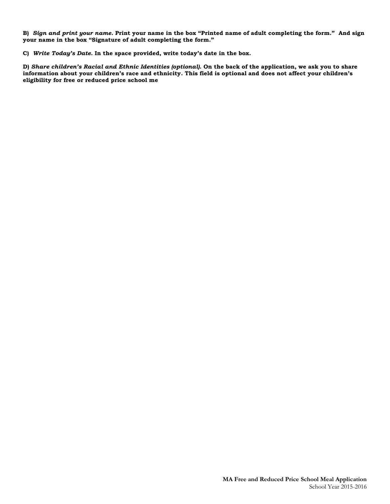**B)** *Sign and print your name.* **Print your name in the box "Printed name of adult completing the form." And sign your name in the box "Signature of adult completing the form."**

**C)** *Write Today's Date.* **In the space provided, write today's date in the box.** 

**D)** *Share children's Racial and Ethnic Identities (optional).* **On the back of the application, we ask you to share information about your children's race and ethnicity. This field is optional and does not affect your children's eligibility for free or reduced price school me**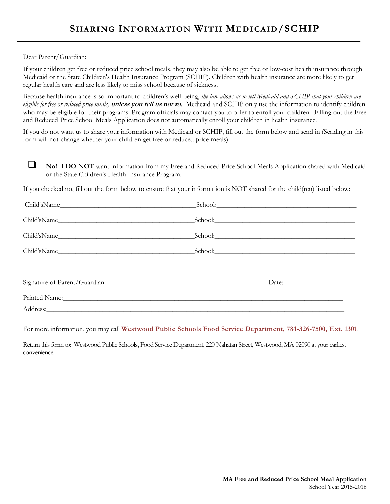Dear Parent/Guardian:

If your children get free or reduced price school meals, they may also be able to get free or low-cost health insurance through Medicaid or the State Children's Health Insurance Program (SCHIP). Children with health insurance are more likely to get regular health care and are less likely to miss school because of sickness.

Because health insurance is so important to children's well-being, *the law allows us to tell Medicaid and SCHIP that your children are eligible for free or reduced price meals,* **unless you tell us not to.** Medicaid and SCHIP only use the information to identify children who may be eligible for their programs. Program officials may contact you to offer to enroll your children. Filling out the Free and Reduced Price School Meals Application does not automatically enroll your children in health insurance.

If you do not want us to share your information with Medicaid or SCHIP, fill out the form below and send in (Sending in this form will not change whether your children get free or reduced price meals).

**No! I DO NOT** want information from my Free and Reduced Price School Meals Application shared with Medicaid or the State Children's Health Insurance Program.

If you checked no, fill out the form below to ensure that your information is NOT shared for the child(ren) listed below:

|             | School: <u>Communication</u>                                                                                                                                                                                                   |  |
|-------------|--------------------------------------------------------------------------------------------------------------------------------------------------------------------------------------------------------------------------------|--|
|             |                                                                                                                                                                                                                                |  |
|             |                                                                                                                                                                                                                                |  |
| Child'sName | School: <u>School:</u>                                                                                                                                                                                                         |  |
|             |                                                                                                                                                                                                                                |  |
|             |                                                                                                                                                                                                                                |  |
|             | Printed Name: 1988 and 2008 and 2008 and 2008 and 2008 and 2008 and 2008 and 2008 and 2008 and 2008 and 2008 and 2008 and 2008 and 2008 and 2008 and 2008 and 2008 and 2008 and 2008 and 2008 and 2008 and 2008 and 2008 and 2 |  |
|             | Address: Note that the contract of the contract of the contract of the contract of the contract of the contract of the contract of the contract of the contract of the contract of the contract of the contract of the contrac |  |
|             |                                                                                                                                                                                                                                |  |

For more information, you may call **Westwood Public Schools Food Service Department, 781-326-7500, Ext. 1301**.

Return this form to: Westwood Public Schools, Food Service Department, 220 Nahatan Street, Westwood, MA 02090 at your earliest convenience.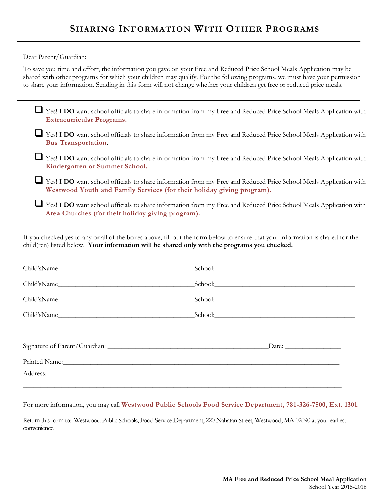Dear Parent/Guardian:

To save you time and effort, the information you gave on your Free and Reduced Price School Meals Application may be shared with other programs for which your children may qualify. For the following programs, we must have your permission to share your information. Sending in this form will not change whether your children get free or reduced price meals.

| Yes! I DO want school officials to share information from my Free and Reduced Price School Meals Application with<br><b>Extracurricular Programs.</b>                                                                          |  |
|--------------------------------------------------------------------------------------------------------------------------------------------------------------------------------------------------------------------------------|--|
| Yes! I DO want school officials to share information from my Free and Reduced Price School Meals Application with<br><b>Bus Transportation.</b>                                                                                |  |
| Yes! I DO want school officials to share information from my Free and Reduced Price School Meals Application with<br>Kindergarten or Summer School.                                                                            |  |
| Yes! I DO want school officials to share information from my Free and Reduced Price School Meals Application with<br>Westwood Youth and Family Services (for their holiday giving program).                                    |  |
| Yes! I DO want school officials to share information from my Free and Reduced Price School Meals Application with<br>Area Churches (for their holiday giving program).                                                         |  |
| If you checked yes to any or all of the boxes above, fill out the form below to ensure that your information is shared for the<br>child(ren) listed below. Your information will be shared only with the programs you checked. |  |

| Child'sName                                                                                                                                                                                                                    | School: School:        |
|--------------------------------------------------------------------------------------------------------------------------------------------------------------------------------------------------------------------------------|------------------------|
|                                                                                                                                                                                                                                |                        |
|                                                                                                                                                                                                                                | School: <u>School:</u> |
|                                                                                                                                                                                                                                |                        |
|                                                                                                                                                                                                                                |                        |
|                                                                                                                                                                                                                                |                        |
| Printed Name: Name: Name: Name: Name: Name: Name: Name: Name: Name: Name: Name: Name: Name: Name: Name: Name: Name: Name: Name: Name: Name: Name: Name: Name: Name: Name: Name: Name: Name: Name: Name: Name: Name: Name: Name |                        |
|                                                                                                                                                                                                                                |                        |
|                                                                                                                                                                                                                                |                        |

For more information, you may call **Westwood Public Schools Food Service Department, 781-326-7500, Ext. 1301**.

Return this form to: Westwood Public Schools, Food Service Department, 220 Nahatan Street, Westwood, MA 02090 at your earliest convenience.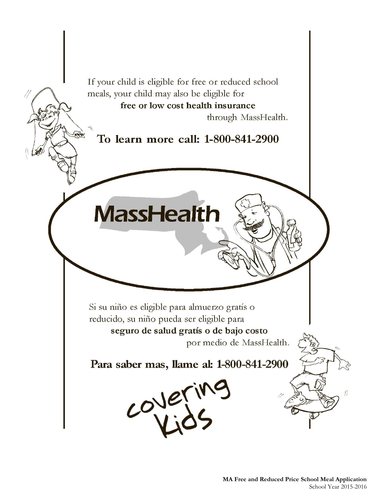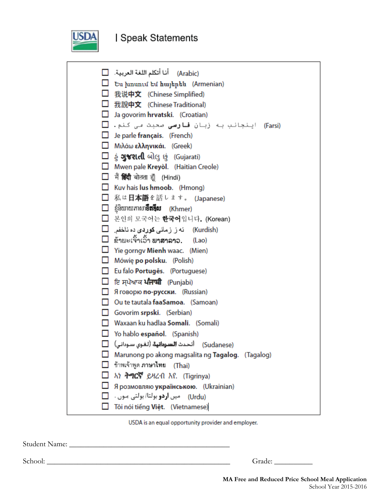

# **I Speak Statements**

|              | (Arabic)     أنا أتكلم اللغة العربية. $\Box$                          |
|--------------|-----------------------------------------------------------------------|
|              | □ Ես խոսում եմ հայերեն (Armenian)                                     |
|              | □ 我说中文 (Chinese Simplified)                                           |
|              | □ 我說中文 (Chinese Traditional)                                          |
|              | $\Box$ Ja govorim hrvatski. (Croatian)                                |
|              | ایـنجانب بـه زبـا <b>ن قـارسی</b> صحبت <i>مـ</i> ی کـنم. □<br>(Farsi) |
|              | $\Box$ Je parle français. (French)                                    |
|              | <b>M</b> ιλάω ελληνικάι. (Greek)                                      |
|              | $\square$ હું <b>ગુજરાતી</b> બોલુ છું (Gujarati)                      |
|              | Mwen pale Kreyol. (Haitian Creole)                                    |
|              | $\Box$ मैं हिंदी बोलता हूँ (Hindi)                                    |
|              | $\Box$ Kuv hais lus hmoob. (Hmong)                                    |
|              | □ 私は日本語を話します。 (Japanese)                                              |
|              | $\Box$ ខ្ញុំនិយាយភាសា <b>ខឹតអ៊ីស</b> (Khmer)                          |
|              | □ 본인의 모국어는 한국어입니다. (Korean)                                           |
|              | (Kurdish)     ئەز زمانى كوردى دە ئاخفى   [_]                          |
|              | $\Box$ ຂ້າພະເຈົ້າເວົ້າ ພາສາລາວ.<br>(Lao)                              |
|              | $\Box$ Yie gorngv Mienh waac. (Mien)                                  |
|              | $\Box$ Mówię po polsku. (Polish)                                      |
|              | Eu falo Portugês. (Portuguese)                                        |
|              | □ ਇ ਸਪੇਆਕ <b>ਪੰਜਾਬੀ</b> (Punjabi)                                     |
| П.           | Я говорю по-русски. (Russian)                                         |
| $\mathsf{L}$ | Ou te tautala faaSamoa. (Samoan)                                      |
|              | Govorim srpski. (Serbian)                                             |
|              | $\Box$ Waxaan ku hadlaa Somali. (Somali)                              |
|              | $\Box$ Yo hablo español. (Spanish)                                    |
|              | (Sudanese)     أتحدث <b>السودانية</b> (لغوى سودانى)     [_]           |
|              | Marunong po akong magsalita ng Tagalog. (Tagalog)                     |
|              | ข้าพเจ้าพูด <b>ภาษาไทย (Th</b> ai)                                    |
|              | አነ ትግርኛ ይዛረብ እየ. (Tigrinya)                                           |
|              | Я розмовляю українською. (Ukrainian)                                  |
|              | (Urdu) - میں <b>اردو</b> بولتا/ بولتی مـوں                            |
|              | Tôi nói tiếng Việt. (Vietnamese)                                      |

USDA is an equal opportunity provider and employer.

Student Name: \_\_\_\_\_\_\_\_\_\_\_\_\_\_\_\_\_\_\_\_\_\_\_\_\_\_\_\_\_\_\_\_\_\_\_\_\_\_\_\_\_\_

School: \_\_\_\_\_\_\_\_\_\_\_\_\_\_\_\_\_\_\_\_\_\_\_\_\_\_\_\_\_\_\_\_\_\_\_\_\_\_\_\_\_\_\_\_\_\_\_\_ Grade: \_\_\_\_\_\_\_\_\_\_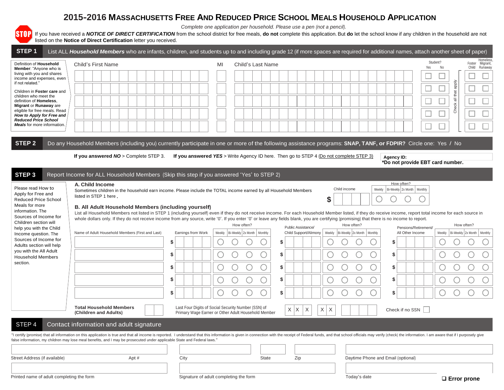## **2015-2016 MASSACHUSETTS FREE AND REDUCED PRICE SCHOOL MEALS HOUSEHOLD APPLICATION**

*Complete one application per household. Please use a pen (not a pencil).*

If you have received a *NOTICE OF DIRECT CERTIFICATION* from the school district for free meals, **do not** complete this application. But **do** let the school know if any children in the household are not listed on the **Notice of Direct Certification** letter you received.

| STEP <sub>1</sub>                                                                    | List ALL Household Members who are infants, children, and students up to and including grade 12 (if more spaces are required for additional names, attach another sheet of paper)                                                                                                                                                                                                                           |      |                    |    |                                                                                                            |                   |    |                                                                                        |               |                                         |              |        |                                                |                              |                      |                |                    |            |                                              |
|--------------------------------------------------------------------------------------|-------------------------------------------------------------------------------------------------------------------------------------------------------------------------------------------------------------------------------------------------------------------------------------------------------------------------------------------------------------------------------------------------------------|------|--------------------|----|------------------------------------------------------------------------------------------------------------|-------------------|----|----------------------------------------------------------------------------------------|---------------|-----------------------------------------|--------------|--------|------------------------------------------------|------------------------------|----------------------|----------------|--------------------|------------|----------------------------------------------|
| Definition of Household<br>Member: "Anyone who is                                    | Child's First Name                                                                                                                                                                                                                                                                                                                                                                                          |      |                    | MI |                                                                                                            | Child's Last Name |    |                                                                                        |               |                                         |              |        |                                                |                              | Yes                  | Student?<br>No |                    |            | Homeless<br>Foster Migrant,<br>Child Runaway |
| living with you and shares<br>income and expenses, even                              |                                                                                                                                                                                                                                                                                                                                                                                                             |      |                    |    |                                                                                                            |                   |    |                                                                                        |               |                                         |              |        |                                                |                              | ⊏                    |                |                    |            |                                              |
| if not related."<br>Children in Foster care and                                      |                                                                                                                                                                                                                                                                                                                                                                                                             |      |                    |    |                                                                                                            |                   |    |                                                                                        |               |                                         |              |        |                                                |                              | ⊏                    |                | all that apply     |            |                                              |
| children who meet the<br>definition of Homeless.                                     |                                                                                                                                                                                                                                                                                                                                                                                                             |      |                    |    |                                                                                                            |                   |    |                                                                                        |               |                                         |              |        |                                                |                              | ⊏                    |                |                    |            |                                              |
| Migrant or Runaway are<br>eligible for free meals. Read<br>How to Apply for Free and |                                                                                                                                                                                                                                                                                                                                                                                                             |      |                    |    |                                                                                                            |                   |    |                                                                                        |               |                                         |              |        |                                                |                              |                      |                | Check              |            |                                              |
| <b>Reduced Price School</b><br>Meals for more information.                           |                                                                                                                                                                                                                                                                                                                                                                                                             |      |                    |    |                                                                                                            |                   |    |                                                                                        |               |                                         |              |        |                                                |                              |                      |                |                    |            |                                              |
|                                                                                      |                                                                                                                                                                                                                                                                                                                                                                                                             |      |                    |    |                                                                                                            |                   |    |                                                                                        |               |                                         |              |        |                                                |                              |                      |                |                    |            |                                              |
| STEP <sub>2</sub>                                                                    | Do any Household Members (including you) currently participate in one or more of the following assistance programs: SNAP, TANF, or FDPIR? Circle one: Yes / No                                                                                                                                                                                                                                              |      |                    |    |                                                                                                            |                   |    |                                                                                        |               |                                         |              |        |                                                |                              |                      |                |                    |            |                                              |
|                                                                                      | If you answered NO > Complete STEP 3.                                                                                                                                                                                                                                                                                                                                                                       |      |                    |    |                                                                                                            |                   |    | If you answered YES > Write Agency ID here. Then go to STEP 4 (Do not complete STEP 3) |               |                                         |              |        | Agency ID:<br>*Do not provide EBT card number. |                              |                      |                |                    |            |                                              |
| STEP <sub>3</sub>                                                                    | Report Income for ALL Household Members (Skip this step if you answered 'Yes' to STEP 2)                                                                                                                                                                                                                                                                                                                    |      |                    |    |                                                                                                            |                   |    |                                                                                        |               |                                         |              |        |                                                |                              |                      |                |                    |            |                                              |
| Please read How to                                                                   | A. Child Income                                                                                                                                                                                                                                                                                                                                                                                             |      |                    |    |                                                                                                            |                   |    |                                                                                        |               |                                         |              |        |                                                | How often?                   |                      |                |                    |            |                                              |
| Apply for Free and<br><b>Reduced Price School</b>                                    | Sometimes children in the household earn income. Please include the TOTAL income earned by all Household Members<br>listed in STEP 1 here.                                                                                                                                                                                                                                                                  |      |                    |    |                                                                                                            |                   |    |                                                                                        | \$            | Child income                            |              | Weekly |                                                | Bi-Weekly 2x Month   Monthly |                      |                |                    |            |                                              |
| Meals for more<br>information. The                                                   | B. All Adult Household Members (including yourself)                                                                                                                                                                                                                                                                                                                                                         |      |                    |    |                                                                                                            |                   |    |                                                                                        |               |                                         |              |        |                                                |                              |                      |                |                    |            |                                              |
| Sources of Income for<br>Children section will                                       | List all Household Members not listed in STEP 1 (including yourself) even if they do not receive income. For each Household Member listed, if they do receive income, report total income for each source in<br>whole dollars only. If they do not receive income from any source, write '0'. If you enter '0' or leave any fields blank, you are certifying (promising) that there is no income to report. |      |                    |    |                                                                                                            |                   |    |                                                                                        |               |                                         |              |        |                                                |                              |                      |                |                    |            |                                              |
| help you with the Child                                                              | Name of Adult Household Members (First and Last)                                                                                                                                                                                                                                                                                                                                                            |      | Earnings from Work |    | How often?<br>Weekly   Bi-Weekly   2x Month                                                                | Monthly           |    | Public Assistance/<br>Child Support/Alimony                                            |               | Weekly   Bi-Weekly   2x Month   Monthly | How often?   |        |                                                | All Other Income             | Pensions/Retirement/ | Weekly         |                    | How often? | Bi-Weekly 2x Month   Monthly                 |
| Income question. The<br>Sources of Income for                                        |                                                                                                                                                                                                                                                                                                                                                                                                             | \$   |                    |    |                                                                                                            |                   | \$ |                                                                                        |               |                                         |              |        |                                                |                              |                      |                |                    |            |                                              |
| Adults section will help<br>you with the All Adult<br><b>Household Members</b>       |                                                                                                                                                                                                                                                                                                                                                                                                             | \$   |                    |    |                                                                                                            |                   | \$ |                                                                                        |               |                                         |              |        | \$                                             |                              |                      |                |                    |            |                                              |
| section.                                                                             |                                                                                                                                                                                                                                                                                                                                                                                                             | \$   |                    |    |                                                                                                            |                   | \$ |                                                                                        |               |                                         |              |        | \$                                             |                              |                      |                |                    |            |                                              |
|                                                                                      |                                                                                                                                                                                                                                                                                                                                                                                                             | \$   |                    |    |                                                                                                            |                   | \$ |                                                                                        |               |                                         |              |        | \$                                             |                              |                      |                |                    |            |                                              |
|                                                                                      |                                                                                                                                                                                                                                                                                                                                                                                                             | \$   |                    |    |                                                                                                            |                   | \$ |                                                                                        |               |                                         |              |        | \$                                             |                              |                      |                |                    |            |                                              |
|                                                                                      |                                                                                                                                                                                                                                                                                                                                                                                                             |      |                    |    |                                                                                                            |                   |    |                                                                                        |               |                                         |              |        |                                                |                              |                      |                |                    |            |                                              |
|                                                                                      | <b>Total Household Members</b><br>(Children and Adults)                                                                                                                                                                                                                                                                                                                                                     |      |                    |    | Last Four Digits of Social Security Number (SSN) of<br>Primary Wage Earner or Other Adult Household Member |                   |    | $X$ $X$<br>X                                                                           | $\times$<br>X |                                         |              |        |                                                |                              | Check if no SSN      |                |                    |            |                                              |
| STEP <sub>4</sub>                                                                    | Contact information and adult signature                                                                                                                                                                                                                                                                                                                                                                     |      |                    |    |                                                                                                            |                   |    |                                                                                        |               |                                         |              |        |                                                |                              |                      |                |                    |            |                                              |
|                                                                                      | "I certify (promise) that all information on this application is true and that all income is reported. I understand that this information is given in connection with the receipt of Federal funds, and that school officials<br>false information, my children may lose meal benefits, and I may be prosecuted under applicable State and Federal laws."                                                   |      |                    |    |                                                                                                            |                   |    |                                                                                        |               |                                         |              |        |                                                |                              |                      |                |                    |            |                                              |
|                                                                                      |                                                                                                                                                                                                                                                                                                                                                                                                             |      |                    |    |                                                                                                            |                   |    |                                                                                        |               |                                         |              |        |                                                |                              |                      |                |                    |            |                                              |
| Street Address (if available)                                                        | Apt #                                                                                                                                                                                                                                                                                                                                                                                                       | City |                    |    |                                                                                                            | State             |    | Zip                                                                                    |               |                                         |              |        | Daytime Phone and Email (optional)             |                              |                      |                |                    |            |                                              |
|                                                                                      |                                                                                                                                                                                                                                                                                                                                                                                                             |      |                    |    |                                                                                                            |                   |    |                                                                                        |               |                                         |              |        |                                                |                              |                      |                |                    |            |                                              |
| Printed name of adult completing the form                                            |                                                                                                                                                                                                                                                                                                                                                                                                             |      |                    |    | Signature of adult completing the form                                                                     |                   |    |                                                                                        |               |                                         | Today's date |        |                                                |                              |                      |                | $\Box$ Error prone |            |                                              |